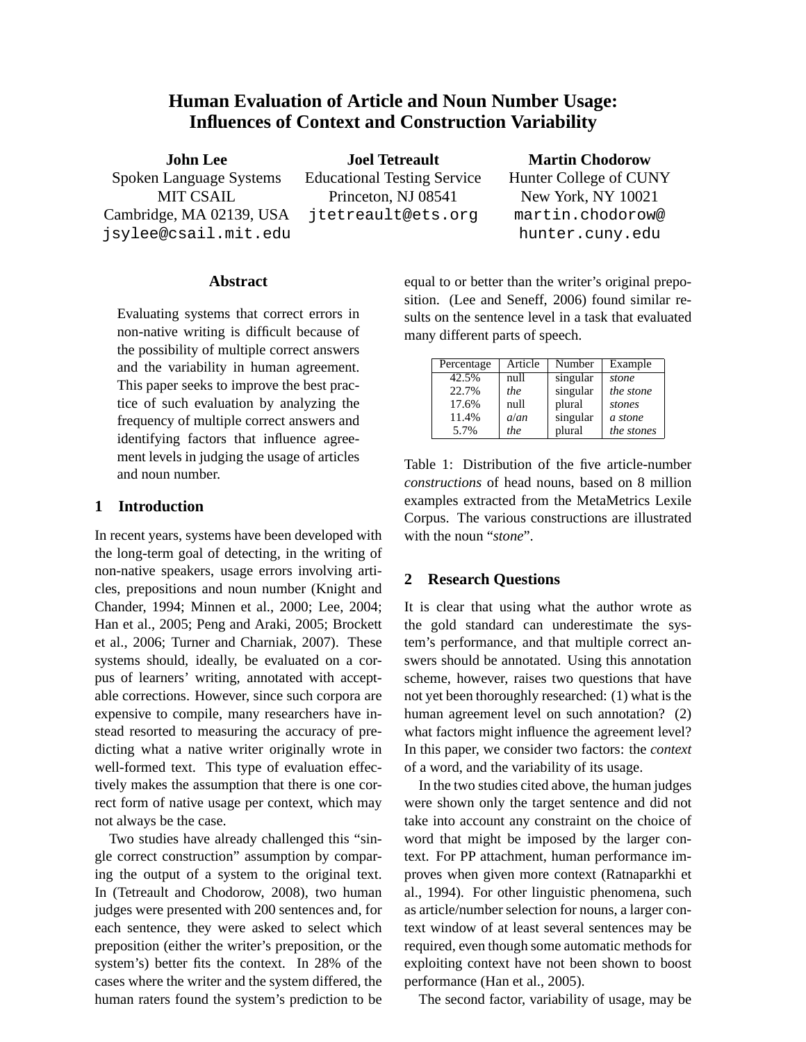# **Human Evaluation of Article and Noun Number Usage: Influences of Context and Construction Variability**

**John Lee** Spoken Language Systems MIT CSAIL Cambridge, MA 02139, USA jsylee@csail.mit.edu

**Joel Tetreault** Educational Testing Service Princeton, NJ 08541 jtetreault@ets.org

### **Martin Chodorow**

Hunter College of CUNY New York, NY 10021 martin.chodorow@ hunter.cuny.edu

### **Abstract**

Evaluating systems that correct errors in non-native writing is difficult because of the possibility of multiple correct answers and the variability in human agreement. This paper seeks to improve the best practice of such evaluation by analyzing the frequency of multiple correct answers and identifying factors that influence agreement levels in judging the usage of articles and noun number.

### **1 Introduction**

In recent years, systems have been developed with the long-term goal of detecting, in the writing of non-native speakers, usage errors involving articles, prepositions and noun number (Knight and Chander, 1994; Minnen et al., 2000; Lee, 2004; Han et al., 2005; Peng and Araki, 2005; Brockett et al., 2006; Turner and Charniak, 2007). These systems should, ideally, be evaluated on a corpus of learners' writing, annotated with acceptable corrections. However, since such corpora are expensive to compile, many researchers have instead resorted to measuring the accuracy of predicting what a native writer originally wrote in well-formed text. This type of evaluation effectively makes the assumption that there is one correct form of native usage per context, which may not always be the case.

Two studies have already challenged this "single correct construction" assumption by comparing the output of a system to the original text. In (Tetreault and Chodorow, 2008), two human judges were presented with 200 sentences and, for each sentence, they were asked to select which preposition (either the writer's preposition, or the system's) better fits the context. In 28% of the cases where the writer and the system differed, the human raters found the system's prediction to be equal to or better than the writer's original preposition. (Lee and Seneff, 2006) found similar results on the sentence level in a task that evaluated many different parts of speech.

| Percentage | Article | Number   | Example    |
|------------|---------|----------|------------|
| 42.5%      | null    | singular | stone      |
| 22.7%      | the     | singular | the stone  |
| 17.6%      | null    | plural   | stones     |
| 11.4%      | $a$ /an | singular | a stone    |
| 5.7%       | the     | plural   | the stones |

Table 1: Distribution of the five article-number *constructions* of head nouns, based on 8 million examples extracted from the MetaMetrics Lexile Corpus. The various constructions are illustrated with the noun "*stone*".

### **2 Research Questions**

It is clear that using what the author wrote as the gold standard can underestimate the system's performance, and that multiple correct answers should be annotated. Using this annotation scheme, however, raises two questions that have not yet been thoroughly researched: (1) what is the human agreement level on such annotation? (2) what factors might influence the agreement level? In this paper, we consider two factors: the *context* of a word, and the variability of its usage.

In the two studies cited above, the human judges were shown only the target sentence and did not take into account any constraint on the choice of word that might be imposed by the larger context. For PP attachment, human performance improves when given more context (Ratnaparkhi et al., 1994). For other linguistic phenomena, such as article/number selection for nouns, a larger context window of at least several sentences may be required, even though some automatic methods for exploiting context have not been shown to boost performance (Han et al., 2005).

The second factor, variability of usage, may be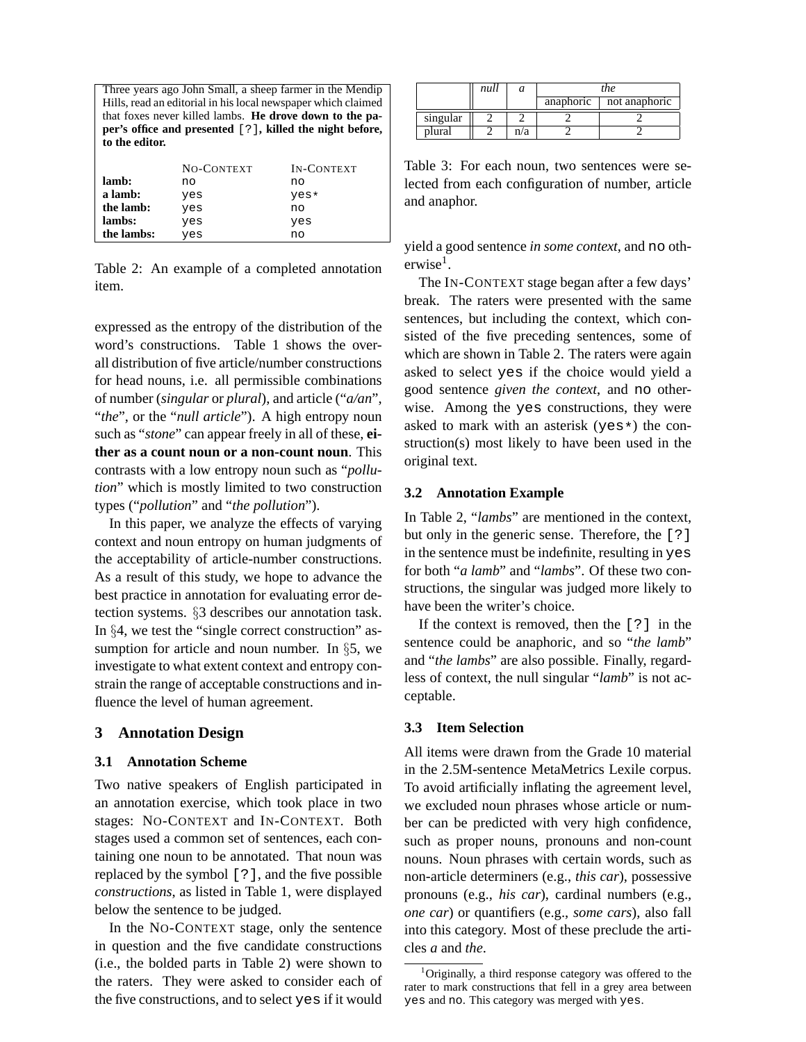Three years ago John Small, a sheep farmer in the Mendip Hills, read an editorial in his local newspaper which claimed that foxes never killed lambs. **He drove down to the paper's office and presented** [?]**, killed the night before, to the editor.**

|            | NO-CONTEXT | <b>IN-CONTEXT</b> |
|------------|------------|-------------------|
| lamb:      | no         | no                |
| a lamb:    | yes        | yes*              |
| the lamb:  | yes        | no                |
| lambs:     | yes        | yes               |
| the lambs: | yes        | no                |

Table 2: An example of a completed annotation item.

expressed as the entropy of the distribution of the word's constructions. Table 1 shows the overall distribution of five article/number constructions for head nouns, i.e. all permissible combinations of number (*singular* or *plural*), and article ("*a/an*", "*the*", or the "*null article*"). A high entropy noun such as "*stone*" can appear freely in all of these, **either as a count noun or a non-count noun**. This contrasts with a low entropy noun such as "*pollution*" which is mostly limited to two construction types ("*pollution*" and "*the pollution*").

In this paper, we analyze the effects of varying context and noun entropy on human judgments of the acceptability of article-number constructions. As a result of this study, we hope to advance the best practice in annotation for evaluating error detection systems. §3 describes our annotation task. In §4, we test the "single correct construction" assumption for article and noun number. In §5, we investigate to what extent context and entropy constrain the range of acceptable constructions and influence the level of human agreement.

### **3 Annotation Design**

#### **3.1 Annotation Scheme**

Two native speakers of English participated in an annotation exercise, which took place in two stages: NO-CONTEXT and IN-CONTEXT. Both stages used a common set of sentences, each containing one noun to be annotated. That noun was replaced by the symbol [?], and the five possible *constructions*, as listed in Table 1, were displayed below the sentence to be judged.

In the NO-CONTEXT stage, only the sentence in question and the five candidate constructions (i.e., the bolded parts in Table 2) were shown to the raters. They were asked to consider each of the five constructions, and to select yes if it would

|          | null |     | the       |               |
|----------|------|-----|-----------|---------------|
|          |      |     | anaphoric | not anaphoric |
| singular |      |     |           |               |
| plural   |      | n/a |           |               |

Table 3: For each noun, two sentences were selected from each configuration of number, article and anaphor.

yield a good sentence *in some context*, and no otherwise<sup>1</sup>.

The IN-CONTEXT stage began after a few days' break. The raters were presented with the same sentences, but including the context, which consisted of the five preceding sentences, some of which are shown in Table 2. The raters were again asked to select yes if the choice would yield a good sentence *given the context*, and no otherwise. Among the yes constructions, they were asked to mark with an asterisk (yes\*) the construction(s) most likely to have been used in the original text.

#### **3.2 Annotation Example**

In Table 2, "*lambs*" are mentioned in the context, but only in the generic sense. Therefore, the [?] in the sentence must be indefinite, resulting in yes for both "*a lamb*" and "*lambs*". Of these two constructions, the singular was judged more likely to have been the writer's choice.

If the context is removed, then the [?] in the sentence could be anaphoric, and so "*the lamb*" and "*the lambs*" are also possible. Finally, regardless of context, the null singular "*lamb*" is not acceptable.

## **3.3 Item Selection**

All items were drawn from the Grade 10 material in the 2.5M-sentence MetaMetrics Lexile corpus. To avoid artificially inflating the agreement level, we excluded noun phrases whose article or number can be predicted with very high confidence, such as proper nouns, pronouns and non-count nouns. Noun phrases with certain words, such as non-article determiners (e.g., *this car*), possessive pronouns (e.g., *his car*), cardinal numbers (e.g., *one car*) or quantifiers (e.g., *some cars*), also fall into this category. Most of these preclude the articles *a* and *the*.

<sup>1</sup>Originally, a third response category was offered to the rater to mark constructions that fell in a grey area between yes and no. This category was merged with yes.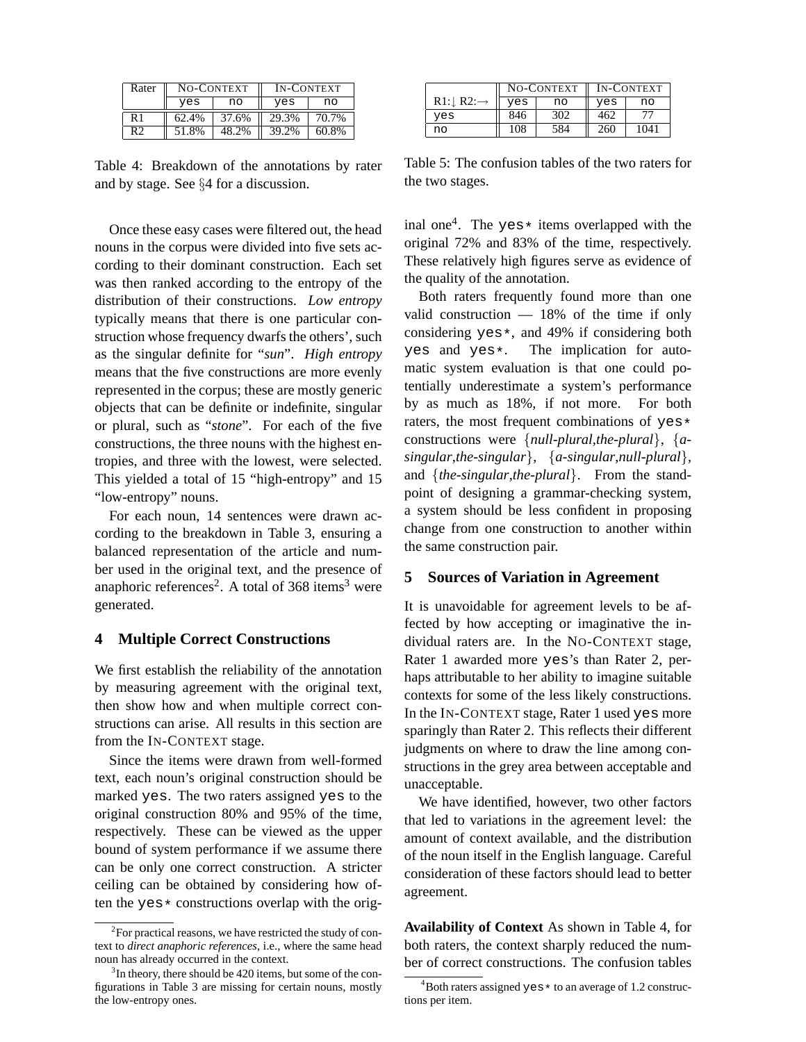| Rater | NO-CONTEXT |       | <b>IN-CONTEXT</b> |       |
|-------|------------|-------|-------------------|-------|
|       | yes        | no    | yes               | no    |
| R 1   | 62.4%      | 37.6% | 29.3%             | 70.7% |
| R2    | 51.8%      | 48.2% | 39.2%             | 60.8% |

Table 4: Breakdown of the annotations by rater and by stage. See §4 for a discussion.

Once these easy cases were filtered out, the head nouns in the corpus were divided into five sets according to their dominant construction. Each set was then ranked according to the entropy of the distribution of their constructions. *Low entropy* typically means that there is one particular construction whose frequency dwarfs the others', such as the singular definite for "*sun*". *High entropy* means that the five constructions are more evenly represented in the corpus; these are mostly generic objects that can be definite or indefinite, singular or plural, such as "*stone*". For each of the five constructions, the three nouns with the highest entropies, and three with the lowest, were selected. This yielded a total of 15 "high-entropy" and 15 "low-entropy" nouns.

For each noun, 14 sentences were drawn according to the breakdown in Table 3, ensuring a balanced representation of the article and number used in the original text, and the presence of anaphoric references<sup>2</sup>. A total of 368 items<sup>3</sup> were generated.

### **4 Multiple Correct Constructions**

We first establish the reliability of the annotation by measuring agreement with the original text, then show how and when multiple correct constructions can arise. All results in this section are from the IN-CONTEXT stage.

Since the items were drawn from well-formed text, each noun's original construction should be marked yes. The two raters assigned yes to the original construction 80% and 95% of the time, respectively. These can be viewed as the upper bound of system performance if we assume there can be only one correct construction. A stricter ceiling can be obtained by considering how often the yes  $\star$  constructions overlap with the orig-

|               |     | NO-CONTEXT |     | <b>IN-CONTEXT</b> |
|---------------|-----|------------|-----|-------------------|
| $R1:$ $R2:$ - | yes | no         | yes | no                |
| ves           | 846 | 302        | 462 | 77                |
| no            | 108 | 584        | 260 | 1041              |

Table 5: The confusion tables of the two raters for the two stages.

inal one<sup>4</sup>. The yes  $*$  items overlapped with the original 72% and 83% of the time, respectively. These relatively high figures serve as evidence of the quality of the annotation.

Both raters frequently found more than one valid construction — 18% of the time if only considering yes\*, and 49% if considering both yes and yes\*. The implication for auto-The implication for automatic system evaluation is that one could potentially underestimate a system's performance by as much as 18%, if not more. For both raters, the most frequent combinations of yes\* constructions were {*null-plural*,*the-plural*}, {*asingular*,*the-singular*}, {*a-singular*,*null-plural*}, and {*the-singular*,*the-plural*}. From the standpoint of designing a grammar-checking system, a system should be less confident in proposing change from one construction to another within the same construction pair.

# **5 Sources of Variation in Agreement**

It is unavoidable for agreement levels to be affected by how accepting or imaginative the individual raters are. In the NO-CONTEXT stage, Rater 1 awarded more yes's than Rater 2, perhaps attributable to her ability to imagine suitable contexts for some of the less likely constructions. In the IN-CONTEXT stage, Rater 1 used yes more sparingly than Rater 2. This reflects their different judgments on where to draw the line among constructions in the grey area between acceptable and unacceptable.

We have identified, however, two other factors that led to variations in the agreement level: the amount of context available, and the distribution of the noun itself in the English language. Careful consideration of these factors should lead to better agreement.

**Availability of Context** As shown in Table 4, for both raters, the context sharply reduced the number of correct constructions. The confusion tables

<sup>&</sup>lt;sup>2</sup>For practical reasons, we have restricted the study of context to *direct anaphoric references*, i.e., where the same head noun has already occurred in the context.

<sup>&</sup>lt;sup>3</sup>In theory, there should be 420 items, but some of the configurations in Table 3 are missing for certain nouns, mostly the low-entropy ones.

 ${}^{4}$ Both raters assigned yes  $*$  to an average of 1.2 constructions per item.